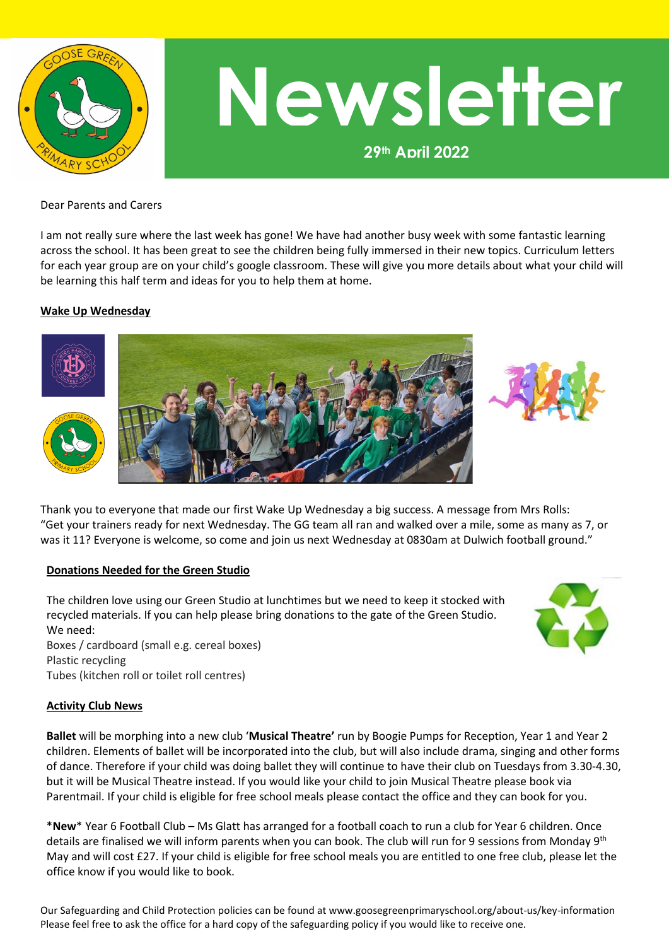

# **29th April 2022 Newsletter**

Dear Parents and Carers

I am not really sure where the last week has gone! We have had another busy week with some fantastic learning across the school. It has been great to see the children being fully immersed in their new topics. Curriculum letters for each year group are on your child's google classroom. These will give you more details about what your child will be learning this half term and ideas for you to help them at home.

#### **Wake Up Wednesday**





Thank you to everyone that made our first Wake Up Wednesday a big success. A message from Mrs Rolls: "Get your trainers ready for next Wednesday. The GG team all ran and walked over a mile, some as many as 7, or was it 11? Everyone is welcome, so come and join us next Wednesday at 0830am at Dulwich football ground."

## **Donations Needed for the Green Studio**

The children love using our Green Studio at lunchtimes but we need to keep it stocked with recycled materials. If you can help please bring donations to the gate of the Green Studio. We need: Boxes / cardboard (small e.g. cereal boxes) Plastic recycling



Tubes (kitchen roll or toilet roll centres)

#### **Activity Club News**

**Ballet** will be morphing into a new club '**Musical Theatre'** run by Boogie Pumps for Reception, Year 1 and Year 2 children. Elements of ballet will be incorporated into the club, but will also include drama, singing and other forms of dance. Therefore if your child was doing ballet they will continue to have their club on Tuesdays from 3.30-4.30, but it will be Musical Theatre instead. If you would like your child to join Musical Theatre please book via Parentmail. If your child is eligible for free school meals please contact the office and they can book for you.

\***New**\* Year 6 Football Club – Ms Glatt has arranged for a football coach to run a club for Year 6 children. Once details are finalised we will inform parents when you can book. The club will run for 9 sessions from Monday 9<sup>th</sup> May and will cost £27. If your child is eligible for free school meals you are entitled to one free club, please let the office know if you would like to book.

Our Safeguarding and Child Protection policies can be found at www.goosegreenprimaryschool.org/about-us/key-information Please feel free to ask the office for a hard copy of the safeguarding policy if you would like to receive one.